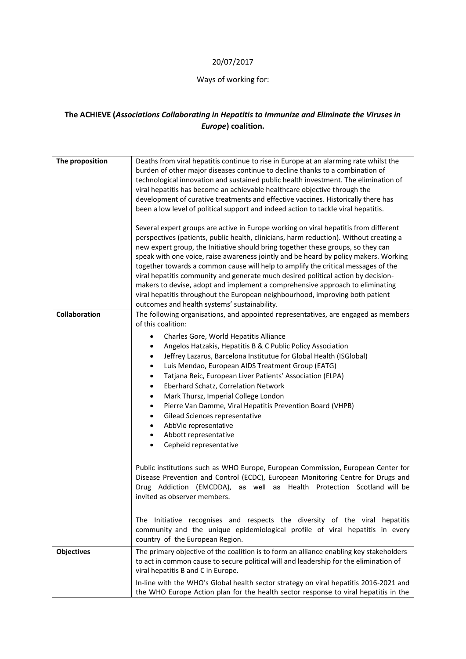## 20/07/2017

## Ways of working for:

## **The ACHIEVE (***Associations Collaborating in Hepatitis to Immunize and Eliminate the Viruses in Europe***) coalition.**

| The proposition      | Deaths from viral hepatitis continue to rise in Europe at an alarming rate whilst the<br>burden of other major diseases continue to decline thanks to a combination of<br>technological innovation and sustained public health investment. The elimination of<br>viral hepatitis has become an achievable healthcare objective through the<br>development of curative treatments and effective vaccines. Historically there has<br>been a low level of political support and indeed action to tackle viral hepatitis.                                                                                                                                                                                                                                                                                                                                                                                                                                                                                                                                                                             |
|----------------------|---------------------------------------------------------------------------------------------------------------------------------------------------------------------------------------------------------------------------------------------------------------------------------------------------------------------------------------------------------------------------------------------------------------------------------------------------------------------------------------------------------------------------------------------------------------------------------------------------------------------------------------------------------------------------------------------------------------------------------------------------------------------------------------------------------------------------------------------------------------------------------------------------------------------------------------------------------------------------------------------------------------------------------------------------------------------------------------------------|
|                      | Several expert groups are active in Europe working on viral hepatitis from different<br>perspectives (patients, public health, clinicians, harm reduction). Without creating a<br>new expert group, the Initiative should bring together these groups, so they can<br>speak with one voice, raise awareness jointly and be heard by policy makers. Working<br>together towards a common cause will help to amplify the critical messages of the<br>viral hepatitis community and generate much desired political action by decision-<br>makers to devise, adopt and implement a comprehensive approach to eliminating<br>viral hepatitis throughout the European neighbourhood, improving both patient<br>outcomes and health systems' sustainability.                                                                                                                                                                                                                                                                                                                                            |
| <b>Collaboration</b> | The following organisations, and appointed representatives, are engaged as members<br>of this coalition:<br>Charles Gore, World Hepatitis Alliance<br>$\bullet$<br>Angelos Hatzakis, Hepatitis B & C Public Policy Association<br>$\bullet$<br>Jeffrey Lazarus, Barcelona Institutue for Global Health (ISGlobal)<br>$\bullet$<br>Luis Mendao, European AIDS Treatment Group (EATG)<br>$\bullet$<br>Tatjana Reic, European Liver Patients' Association (ELPA)<br>$\bullet$<br>Eberhard Schatz, Correlation Network<br>$\bullet$<br>Mark Thursz, Imperial College London<br>$\bullet$<br>Pierre Van Damme, Viral Hepatitis Prevention Board (VHPB)<br>$\bullet$<br>Gilead Sciences representative<br>$\bullet$<br>AbbVie representative<br>٠<br>Abbott representative<br>٠<br>Cepheid representative<br>$\bullet$<br>Public institutions such as WHO Europe, European Commission, European Center for<br>Disease Prevention and Control (ECDC), European Monitoring Centre for Drugs and<br>Drug Addiction (EMCDDA), as well as Health Protection Scotland will be<br>invited as observer members. |
|                      | The Initiative recognises and respects the diversity of the viral hepatitis<br>community and the unique epidemiological profile of viral hepatitis in every<br>country of the European Region.                                                                                                                                                                                                                                                                                                                                                                                                                                                                                                                                                                                                                                                                                                                                                                                                                                                                                                    |
| <b>Objectives</b>    | The primary objective of the coalition is to form an alliance enabling key stakeholders<br>to act in common cause to secure political will and leadership for the elimination of<br>viral hepatitis B and C in Europe.<br>In-line with the WHO's Global health sector strategy on viral hepatitis 2016-2021 and<br>the WHO Europe Action plan for the health sector response to viral hepatitis in the                                                                                                                                                                                                                                                                                                                                                                                                                                                                                                                                                                                                                                                                                            |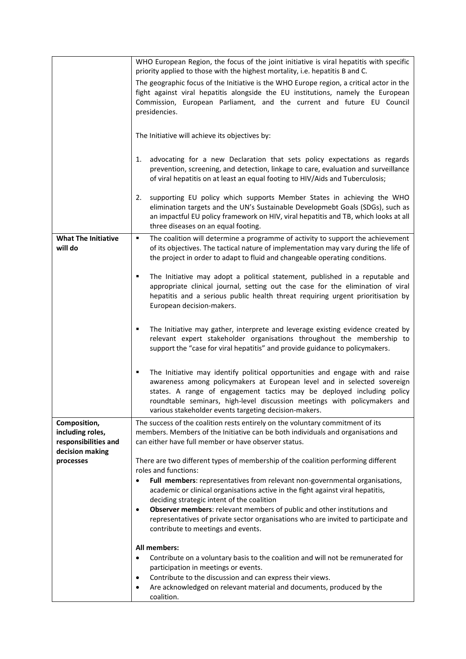|                                                                             | WHO European Region, the focus of the joint initiative is viral hepatitis with specific                                                                                                                                                                                                                                                                                                                                |
|-----------------------------------------------------------------------------|------------------------------------------------------------------------------------------------------------------------------------------------------------------------------------------------------------------------------------------------------------------------------------------------------------------------------------------------------------------------------------------------------------------------|
|                                                                             | priority applied to those with the highest mortality, i.e. hepatitis B and C.<br>The geographic focus of the Initiative is the WHO Europe region, a critical actor in the                                                                                                                                                                                                                                              |
|                                                                             | fight against viral hepatitis alongside the EU institutions, namely the European<br>Commission, European Parliament, and the current and future EU Council<br>presidencies.                                                                                                                                                                                                                                            |
|                                                                             | The Initiative will achieve its objectives by:                                                                                                                                                                                                                                                                                                                                                                         |
|                                                                             | advocating for a new Declaration that sets policy expectations as regards<br>1.<br>prevention, screening, and detection, linkage to care, evaluation and surveillance<br>of viral hepatitis on at least an equal footing to HIV/Aids and Tuberculosis;                                                                                                                                                                 |
|                                                                             | supporting EU policy which supports Member States in achieving the WHO<br>2.<br>elimination targets and the UN's Sustainable Developmebt Goals (SDGs), such as<br>an impactful EU policy framework on HIV, viral hepatitis and TB, which looks at all<br>three diseases on an equal footing.                                                                                                                           |
| <b>What The Initiative</b><br>will do                                       | The coalition will determine a programme of activity to support the achievement<br>٠<br>of its objectives. The tactical nature of implementation may vary during the life of<br>the project in order to adapt to fluid and changeable operating conditions.                                                                                                                                                            |
|                                                                             | The Initiative may adopt a political statement, published in a reputable and<br>٠<br>appropriate clinical journal, setting out the case for the elimination of viral<br>hepatitis and a serious public health threat requiring urgent prioritisation by<br>European decision-makers.                                                                                                                                   |
|                                                                             | The Initiative may gather, interprete and leverage existing evidence created by<br>٠<br>relevant expert stakeholder organisations throughout the membership to<br>support the "case for viral hepatitis" and provide guidance to policymakers.                                                                                                                                                                         |
|                                                                             | The Initiative may identify political opportunities and engage with and raise<br>٠<br>awareness among policymakers at European level and in selected sovereign<br>states. A range of engagement tactics may be deployed including policy<br>roundtable seminars, high-level discussion meetings with policymakers and<br>various stakeholder events targeting decision-makers.                                         |
| Composition,<br>including roles,<br>responsibilities and<br>decision making | The success of the coalition rests entirely on the voluntary commitment of its<br>members. Members of the Initiative can be both individuals and organisations and<br>can either have full member or have observer status.                                                                                                                                                                                             |
| processes                                                                   | There are two different types of membership of the coalition performing different<br>roles and functions:<br>Full members: representatives from relevant non-governmental organisations,<br>$\bullet$<br>academic or clinical organisations active in the fight against viral hepatitis,<br>deciding strategic intent of the coalition<br>Observer members: relevant members of public and other institutions and<br>٠ |
|                                                                             | representatives of private sector organisations who are invited to participate and<br>contribute to meetings and events.                                                                                                                                                                                                                                                                                               |
|                                                                             | All members:<br>Contribute on a voluntary basis to the coalition and will not be remunerated for<br>$\bullet$<br>participation in meetings or events.<br>Contribute to the discussion and can express their views.<br>٠                                                                                                                                                                                                |
|                                                                             | Are acknowledged on relevant material and documents, produced by the<br>$\bullet$<br>coalition.                                                                                                                                                                                                                                                                                                                        |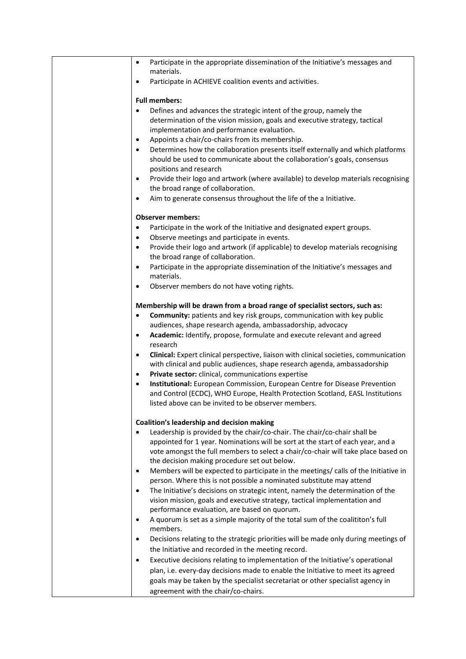| Participate in the appropriate dissemination of the Initiative's messages and<br>$\bullet$                                                       |
|--------------------------------------------------------------------------------------------------------------------------------------------------|
| materials.                                                                                                                                       |
| Participate in ACHIEVE coalition events and activities.<br>$\bullet$                                                                             |
| <b>Full members:</b>                                                                                                                             |
| Defines and advances the strategic intent of the group, namely the<br>$\bullet$                                                                  |
| determination of the vision mission, goals and executive strategy, tactical                                                                      |
| implementation and performance evaluation.                                                                                                       |
| Appoints a chair/co-chairs from its membership.<br>٠                                                                                             |
| Determines how the collaboration presents itself externally and which platforms<br>$\bullet$                                                     |
| should be used to communicate about the collaboration's goals, consensus                                                                         |
| positions and research                                                                                                                           |
| Provide their logo and artwork (where available) to develop materials recognising<br>$\bullet$                                                   |
| the broad range of collaboration.                                                                                                                |
| Aim to generate consensus throughout the life of the a Initiative.<br>$\bullet$                                                                  |
| <b>Observer members:</b>                                                                                                                         |
| Participate in the work of the Initiative and designated expert groups.<br>$\bullet$                                                             |
| Observe meetings and participate in events.<br>٠                                                                                                 |
| Provide their logo and artwork (if applicable) to develop materials recognising<br>$\bullet$                                                     |
| the broad range of collaboration.                                                                                                                |
| Participate in the appropriate dissemination of the Initiative's messages and<br>$\bullet$                                                       |
| materials.                                                                                                                                       |
| Observer members do not have voting rights.<br>٠                                                                                                 |
| Membership will be drawn from a broad range of specialist sectors, such as:                                                                      |
| Community: patients and key risk groups, communication with key public<br>$\bullet$                                                              |
| audiences, shape research agenda, ambassadorship, advocacy                                                                                       |
| Academic: Identify, propose, formulate and execute relevant and agreed<br>$\bullet$                                                              |
| research                                                                                                                                         |
| Clinical: Expert clinical perspective, liaison with clinical societies, communication<br>$\bullet$                                               |
| with clinical and public audiences, shape research agenda, ambassadorship                                                                        |
| Private sector: clinical, communications expertise<br>$\bullet$                                                                                  |
| Institutional: European Commission, European Centre for Disease Prevention<br>$\bullet$                                                          |
| and Control (ECDC), WHO Europe, Health Protection Scotland, EASL Institutions                                                                    |
| listed above can be invited to be observer members.                                                                                              |
| Coalition's leadership and decision making                                                                                                       |
| Leadership is provided by the chair/co-chair. The chair/co-chair shall be                                                                        |
| appointed for 1 year. Nominations will be sort at the start of each year, and a                                                                  |
| vote amongst the full members to select a chair/co-chair will take place based on                                                                |
| the decision making procedure set out below.<br>Members will be expected to participate in the meetings/ calls of the Initiative in<br>$\bullet$ |
| person. Where this is not possible a nominated substitute may attend                                                                             |
| The Initiative's decisions on strategic intent, namely the determination of the<br>$\bullet$                                                     |
| vision mission, goals and executive strategy, tactical implementation and                                                                        |
| performance evaluation, are based on quorum.                                                                                                     |
| A quorum is set as a simple majority of the total sum of the coalititon's full<br>$\bullet$                                                      |
| members.                                                                                                                                         |
| Decisions relating to the strategic priorities will be made only during meetings of<br>$\bullet$                                                 |
| the Initiative and recorded in the meeting record.                                                                                               |
| Executive decisions relating to implementation of the Initiative's operational<br>٠                                                              |
| plan, i.e. every-day decisions made to enable the Initiative to meet its agreed                                                                  |
| goals may be taken by the specialist secretariat or other specialist agency in                                                                   |
| agreement with the chair/co-chairs.                                                                                                              |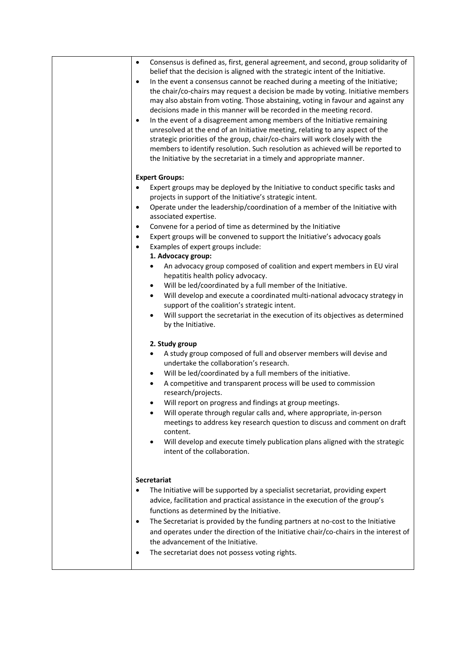| Consensus is defined as, first, general agreement, and second, group solidarity of<br>$\bullet$<br>belief that the decision is aligned with the strategic intent of the Initiative.<br>In the event a consensus cannot be reached during a meeting of the Initiative;<br>$\bullet$<br>the chair/co-chairs may request a decision be made by voting. Initiative members<br>may also abstain from voting. Those abstaining, voting in favour and against any<br>decisions made in this manner will be recorded in the meeting record.<br>In the event of a disagreement among members of the Initiative remaining<br>$\bullet$<br>unresolved at the end of an Initiative meeting, relating to any aspect of the<br>strategic priorities of the group, chair/co-chairs will work closely with the<br>members to identify resolution. Such resolution as achieved will be reported to<br>the Initiative by the secretariat in a timely and appropriate manner. |
|------------------------------------------------------------------------------------------------------------------------------------------------------------------------------------------------------------------------------------------------------------------------------------------------------------------------------------------------------------------------------------------------------------------------------------------------------------------------------------------------------------------------------------------------------------------------------------------------------------------------------------------------------------------------------------------------------------------------------------------------------------------------------------------------------------------------------------------------------------------------------------------------------------------------------------------------------------|
| <b>Expert Groups:</b>                                                                                                                                                                                                                                                                                                                                                                                                                                                                                                                                                                                                                                                                                                                                                                                                                                                                                                                                      |
| Expert groups may be deployed by the Initiative to conduct specific tasks and<br>$\bullet$<br>projects in support of the Initiative's strategic intent.<br>Operate under the leadership/coordination of a member of the Initiative with<br>$\bullet$                                                                                                                                                                                                                                                                                                                                                                                                                                                                                                                                                                                                                                                                                                       |
| associated expertise.                                                                                                                                                                                                                                                                                                                                                                                                                                                                                                                                                                                                                                                                                                                                                                                                                                                                                                                                      |
| Convene for a period of time as determined by the Initiative<br>٠                                                                                                                                                                                                                                                                                                                                                                                                                                                                                                                                                                                                                                                                                                                                                                                                                                                                                          |
| Expert groups will be convened to support the Initiative's advocacy goals<br>٠<br>Examples of expert groups include:<br>$\bullet$<br>1. Advocacy group:                                                                                                                                                                                                                                                                                                                                                                                                                                                                                                                                                                                                                                                                                                                                                                                                    |
| An advocacy group composed of coalition and expert members in EU viral<br>$\bullet$<br>hepatitis health policy advocacy.                                                                                                                                                                                                                                                                                                                                                                                                                                                                                                                                                                                                                                                                                                                                                                                                                                   |
| Will be led/coordinated by a full member of the Initiative.<br>$\bullet$<br>Will develop and execute a coordinated multi-national advocacy strategy in<br>$\bullet$<br>support of the coalition's strategic intent.                                                                                                                                                                                                                                                                                                                                                                                                                                                                                                                                                                                                                                                                                                                                        |
| Will support the secretariat in the execution of its objectives as determined<br>$\bullet$<br>by the Initiative.                                                                                                                                                                                                                                                                                                                                                                                                                                                                                                                                                                                                                                                                                                                                                                                                                                           |
| 2. Study group                                                                                                                                                                                                                                                                                                                                                                                                                                                                                                                                                                                                                                                                                                                                                                                                                                                                                                                                             |
| A study group composed of full and observer members will devise and<br>٠<br>undertake the collaboration's research.                                                                                                                                                                                                                                                                                                                                                                                                                                                                                                                                                                                                                                                                                                                                                                                                                                        |
| Will be led/coordinated by a full members of the initiative.<br>٠                                                                                                                                                                                                                                                                                                                                                                                                                                                                                                                                                                                                                                                                                                                                                                                                                                                                                          |
| A competitive and transparent process will be used to commission<br>$\bullet$<br>research/projects.<br>Will report on progress and findings at group meetings.                                                                                                                                                                                                                                                                                                                                                                                                                                                                                                                                                                                                                                                                                                                                                                                             |
| Will operate through regular calls and, where appropriate, in-person<br>meetings to address key research question to discuss and comment on draft<br>content.                                                                                                                                                                                                                                                                                                                                                                                                                                                                                                                                                                                                                                                                                                                                                                                              |
| Will develop and execute timely publication plans aligned with the strategic<br>$\bullet$<br>intent of the collaboration.                                                                                                                                                                                                                                                                                                                                                                                                                                                                                                                                                                                                                                                                                                                                                                                                                                  |
| Secretariat                                                                                                                                                                                                                                                                                                                                                                                                                                                                                                                                                                                                                                                                                                                                                                                                                                                                                                                                                |
| The Initiative will be supported by a specialist secretariat, providing expert                                                                                                                                                                                                                                                                                                                                                                                                                                                                                                                                                                                                                                                                                                                                                                                                                                                                             |
| advice, facilitation and practical assistance in the execution of the group's                                                                                                                                                                                                                                                                                                                                                                                                                                                                                                                                                                                                                                                                                                                                                                                                                                                                              |
| functions as determined by the Initiative.<br>The Secretariat is provided by the funding partners at no-cost to the Initiative<br>٠                                                                                                                                                                                                                                                                                                                                                                                                                                                                                                                                                                                                                                                                                                                                                                                                                        |
| and operates under the direction of the Initiative chair/co-chairs in the interest of                                                                                                                                                                                                                                                                                                                                                                                                                                                                                                                                                                                                                                                                                                                                                                                                                                                                      |
| the advancement of the Initiative.                                                                                                                                                                                                                                                                                                                                                                                                                                                                                                                                                                                                                                                                                                                                                                                                                                                                                                                         |
| The secretariat does not possess voting rights.                                                                                                                                                                                                                                                                                                                                                                                                                                                                                                                                                                                                                                                                                                                                                                                                                                                                                                            |